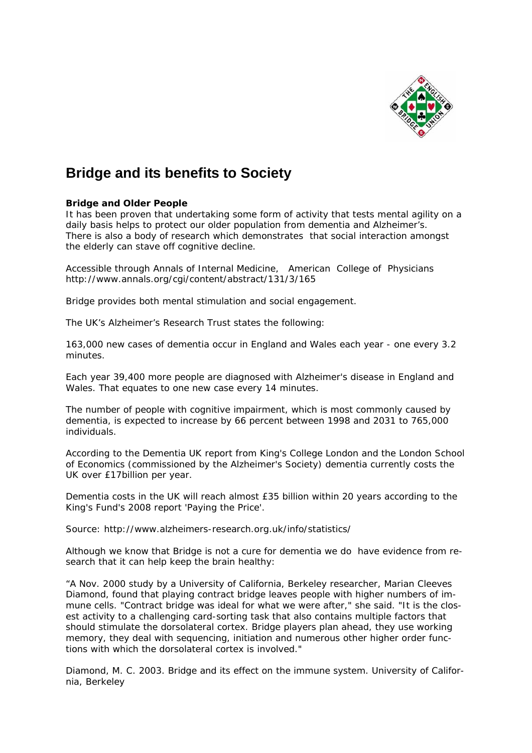

## **Bridge and its benefits to Society**

## *Bridge and Older People*

It has been proven that undertaking some form of activity that tests mental agility on a daily basis helps to protect our older population from dementia and Alzheimer's. There is also a body of research which demonstrates that social interaction amongst the elderly can stave off cognitive decline.

Accessible through Annals of Internal Medicine, American College of Physicians http://www.annals.org/cgi/content/abstract/131/3/165

Bridge provides both mental stimulation and social engagement.

The UK's Alzheimer's Research Trust states the following:

*163,000 new cases of dementia occur in England and Wales each year - one every 3.2 minutes.* 

*Each year 39,400 more people are diagnosed with Alzheimer's disease in England and Wales. That equates to one new case every 14 minutes.* 

*The number of people with cognitive impairment, which is most commonly caused by dementia, is expected to increase by 66 percent between 1998 and 2031 to 765,000 individuals.* 

*According to the Dementia UK report from King's College London and the London School of Economics (commissioned by the Alzheimer's Society) dementia currently costs the UK over £17billion per year.* 

*Dementia costs in the UK will reach almost £35 billion within 20 years according to the King's Fund's 2008 report 'Paying the Price'.* 

Source: http://www.alzheimers-research.org.uk/info/statistics/

Although we know that Bridge is not a cure for dementia we do have evidence from research that it can help keep the brain healthy:

*"A Nov. 2000 study by a University of California, Berkeley researcher, Marian Cleeves Diamond, found that playing contract bridge leaves people with higher numbers of immune cells. "Contract bridge was ideal for what we were after," she said. "It is the closest activity to a challenging card-sorting task that also contains multiple factors that should stimulate the dorsolateral cortex. Bridge players plan ahead, they use working memory, they deal with sequencing, initiation and numerous other higher order functions with which the dorsolateral cortex is involved."* 

Diamond, M. C. 2003. Bridge and its effect on the immune system. University of California, Berkeley